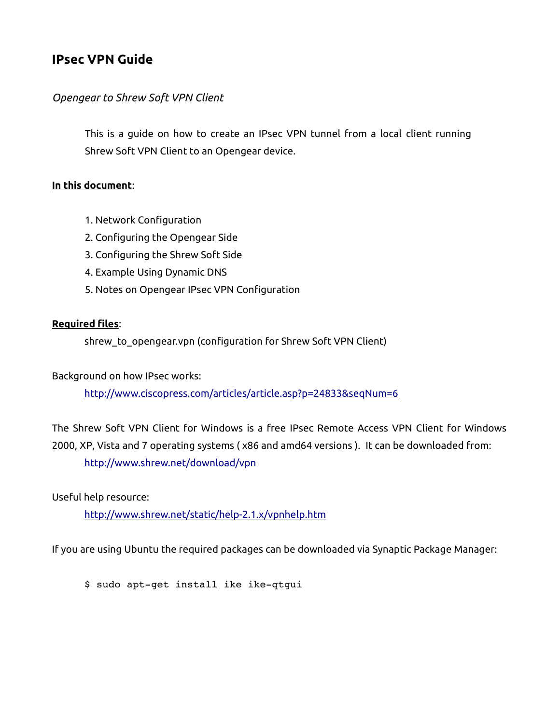# **IPsec VPN Guide**

#### *Opengear to Shrew Soft VPN Client*

This is a guide on how to create an IPsec VPN tunnel from a local client running Shrew Soft VPN Client to an Opengear device.

#### **In this document**:

- 1. Network Configuration
- 2. Configuring the Opengear Side
- 3. Configuring the Shrew Soft Side
- 4. Example Using Dynamic DNS
- 5. Notes on Opengear IPsec VPN Configuration

#### **Required files**:

shrew\_to\_opengear.vpn (configuration for Shrew Soft VPN Client)

Background on how IPsec works:

<http://www.ciscopress.com/articles/article.asp?p=24833&seqNum=6>

The Shrew Soft VPN Client for Windows is a free IPsec Remote Access VPN Client for Windows 2000, XP, Vista and 7 operating systems ( x86 and amd64 versions ). It can be downloaded from: <http://www.shrew.net/download/vpn>

Useful help resource:

<http://www.shrew.net/static/help-2.1.x/vpnhelp.htm>

If you are using Ubuntu the required packages can be downloaded via Synaptic Package Manager:

\$ sudo apt-get install ike ike-qtgui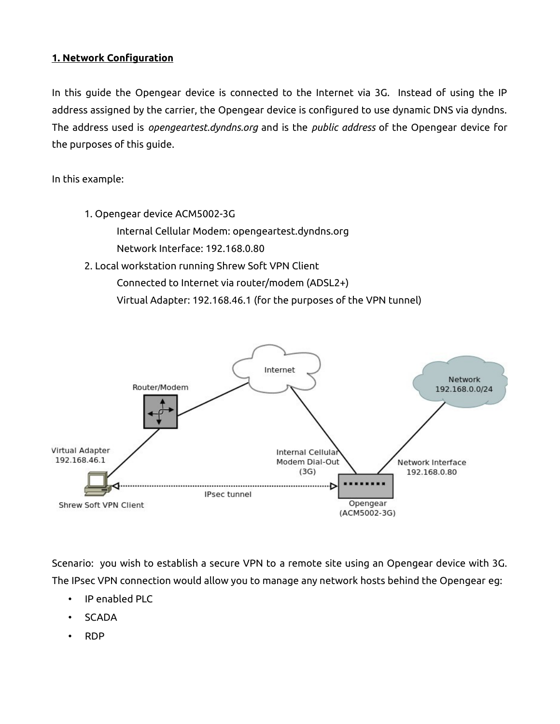### **1. Network Configuration**

In this guide the Opengear device is connected to the Internet via 3G. Instead of using the IP address assigned by the carrier, the Opengear device is configured to use dynamic DNS via dyndns. The address used is *opengeartest.dyndns.org* and is the *public address* of the Opengear device for the purposes of this guide.

In this example:

1. Opengear device ACM5002-3G Internal Cellular Modem: opengeartest.dyndns.org Network Interface: 192.168.0.80 2. Local workstation running Shrew Soft VPN Client Connected to Internet via router/modem (ADSL2+) Virtual Adapter: 192.168.46.1 (for the purposes of the VPN tunnel)



Scenario: you wish to establish a secure VPN to a remote site using an Opengear device with 3G. The IPsec VPN connection would allow you to manage any network hosts behind the Opengear eg:

- IP enabled PLC
- SCADA
- RDP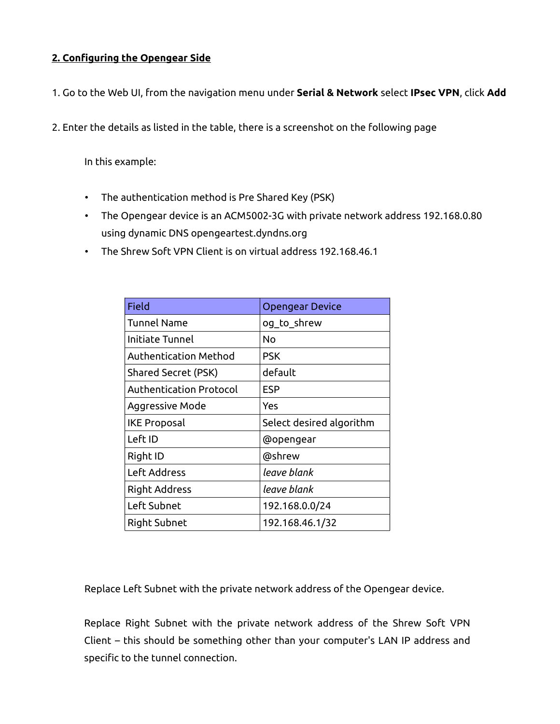## **2. Configuring the Opengear Side**

- 1. Go to the Web UI, from the navigation menu under **Serial & Network** select **IPsec VPN**, click **Add**
- 2. Enter the details as listed in the table, there is a screenshot on the following page

In this example:

- The authentication method is Pre Shared Key (PSK)
- The Opengear device is an ACM5002-3G with private network address 192.168.0.80 using dynamic DNS opengeartest.dyndns.org
- The Shrew Soft VPN Client is on virtual address 192.168.46.1

| <b>Field</b>               | <b>Opengear Device</b>   |
|----------------------------|--------------------------|
| <b>Tunnel Name</b>         | og_to_shrew              |
| Initiate Tunnel            | Nο                       |
| Authentication Method      | <b>PSK</b>               |
| <b>Shared Secret (PSK)</b> | default                  |
| Authentication Protocol    | <b>ESP</b>               |
| Aggressive Mode            | Yes                      |
| <b>IKE Proposal</b>        | Select desired algorithm |
| Left ID                    | @opengear                |
| Right ID                   | @shrew                   |
| Left Address               | leave blank              |
| <b>Right Address</b>       | leave blank              |
| Left Subnet                | 192.168.0.0/24           |
| Right Subnet               | 192.168.46.1/32          |

Replace Left Subnet with the private network address of the Opengear device.

Replace Right Subnet with the private network address of the Shrew Soft VPN Client – this should be something other than your computer's LAN IP address and specific to the tunnel connection.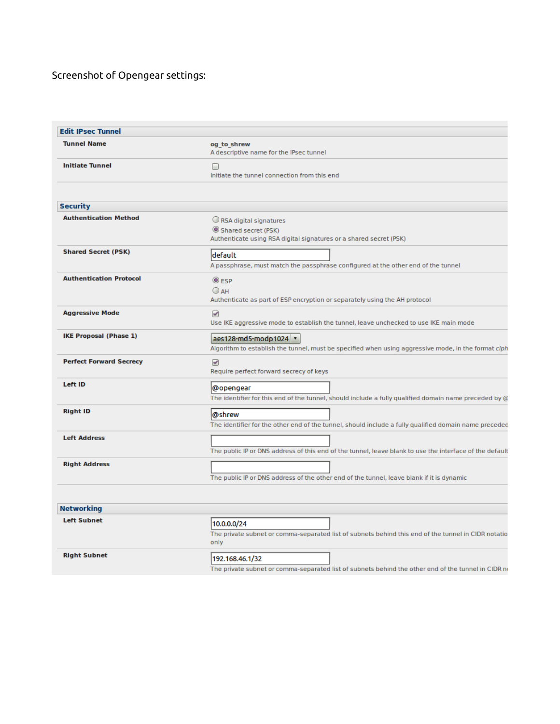## Screenshot of Opengear settings:

| <b>Edit IPsec Tunnel</b>       |                                                                                                                              |
|--------------------------------|------------------------------------------------------------------------------------------------------------------------------|
| <b>Tunnel Name</b>             | og to shrew<br>A descriptive name for the IPsec tunnel                                                                       |
| <b>Initiate Tunnel</b>         | $\Box$<br>Initiate the tunnel connection from this end                                                                       |
|                                |                                                                                                                              |
| <b>Security</b>                |                                                                                                                              |
| <b>Authentication Method</b>   | RSA digital signatures<br>Shared secret (PSK)<br>Authenticate using RSA digital signatures or a shared secret (PSK)          |
| <b>Shared Secret (PSK)</b>     | default<br>A passphrase, must match the passphrase configured at the other end of the tunnel                                 |
| <b>Authentication Protocol</b> | $@$ ESP<br>$O$ AH<br>Authenticate as part of ESP encryption or separately using the AH protocol                              |
| <b>Aggressive Mode</b>         | $\overline{\mathbf{r}}$<br>Use IKE aggressive mode to establish the tunnel, leave unchecked to use IKE main mode             |
| <b>IKE Proposal (Phase 1)</b>  | aes128-md5-modp1024 v<br>Algorithm to establish the tunnel, must be specified when using aggressive mode, in the format ciph |
| <b>Perfect Forward Secrecy</b> | ✔<br>Require perfect forward secrecy of keys                                                                                 |
| Left ID                        | @opengear<br>The identifier for this end of the tunnel, should include a fully qualified domain name preceded by @           |
| <b>Right ID</b>                | @shrew<br>The identifier for the other end of the tunnel, should include a fully qualified domain name preceded              |
| <b>Left Address</b>            | The public IP or DNS address of this end of the tunnel, leave blank to use the interface of the default                      |
| <b>Right Address</b>           | The public IP or DNS address of the other end of the tunnel, leave blank if it is dynamic                                    |
| <b>Networking</b>              |                                                                                                                              |
| <b>Left Subnet</b>             |                                                                                                                              |
|                                | 10.0.0.0/24<br>The private subnet or comma-separated list of subnets behind this end of the tunnel in CIDR notatio<br>only   |
| <b>Right Subnet</b>            | 192.168.46.1/32<br>The private subnet or comma-separated list of subnets behind the other end of the tunnel in CIDR no       |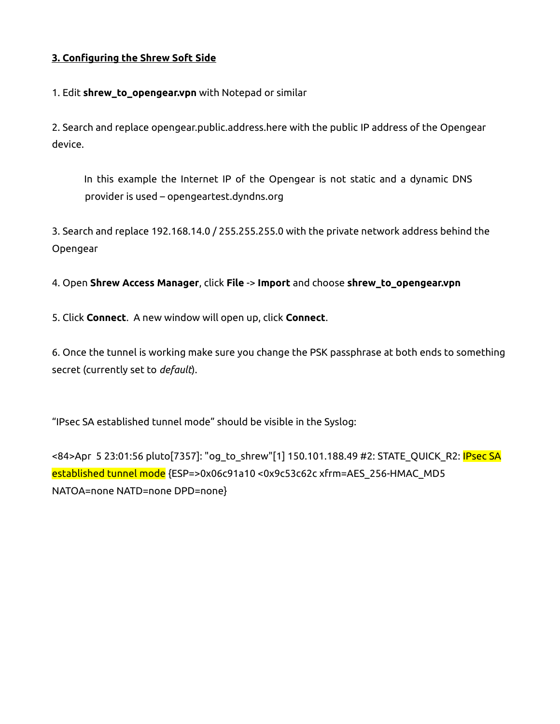## **3. Configuring the Shrew Soft Side**

1. Edit **shrew\_to\_opengear.vpn** with Notepad or similar

2. Search and replace opengear.public.address.here with the public IP address of the Opengear device.

In this example the Internet IP of the Opengear is not static and a dynamic DNS provider is used – opengeartest.dyndns.org

3. Search and replace 192.168.14.0 / 255.255.255.0 with the private network address behind the Opengear

4. Open **Shrew Access Manager**, click **File** -> **Import** and choose **shrew\_to\_opengear.vpn**

5. Click **Connect**. A new window will open up, click **Connect**.

6. Once the tunnel is working make sure you change the PSK passphrase at both ends to something secret (currently set to *default*).

"IPsec SA established tunnel mode" should be visible in the Syslog:

<84>Apr 5 23:01:56 pluto[7357]: "og\_to\_shrew"[1] 150.101.188.49 #2: STATE\_QUICK\_R2: IPsec SA established tunnel mode {ESP=>0x06c91a10 <0x9c53c62c xfrm=AES\_256-HMAC\_MD5 NATOA=none NATD=none DPD=none}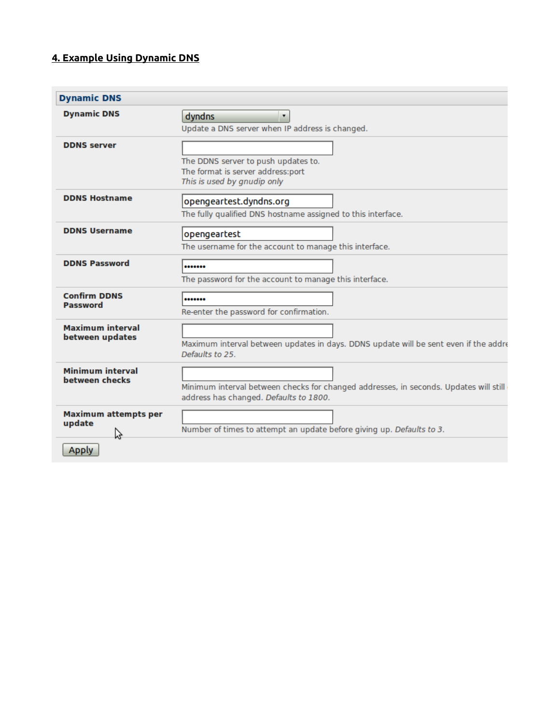# **4. Example Using Dynamic DNS**

| <b>Dynamic DNS</b>                         |                                                                                                                                 |
|--------------------------------------------|---------------------------------------------------------------------------------------------------------------------------------|
| <b>Dynamic DNS</b>                         | dyndns<br>$\pmb{\mathrm{v}}$<br>Update a DNS server when IP address is changed.                                                 |
| <b>DDNS</b> server                         | The DDNS server to push updates to.<br>The format is server address:port<br>This is used by gnudip only                         |
| <b>DDNS Hostname</b>                       | opengeartest.dyndns.org<br>The fully qualified DNS hostname assigned to this interface.                                         |
| <b>DDNS Username</b>                       | opengeartest<br>The username for the account to manage this interface.                                                          |
| <b>DDNS Password</b>                       | <br>The password for the account to manage this interface.                                                                      |
| <b>Confirm DDNS</b><br><b>Password</b>     | <br>Re-enter the password for confirmation.                                                                                     |
| <b>Maximum interval</b><br>between updates | Maximum interval between updates in days. DDNS update will be sent even if the addre<br>Defaults to 25.                         |
| <b>Minimum interval</b><br>between checks  | Minimum interval between checks for changed addresses, in seconds. Updates will still<br>address has changed. Defaults to 1800. |
| <b>Maximum attempts per</b><br>update<br>ヴ | Number of times to attempt an update before giving up. Defaults to 3.                                                           |
| <b>Apply</b>                               |                                                                                                                                 |